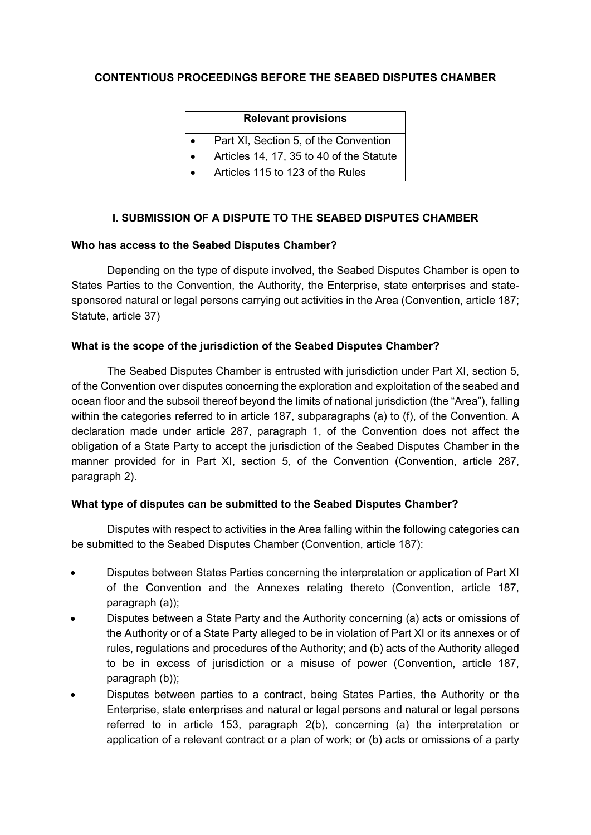# **CONTENTIOUS PROCEEDINGS BEFORE THE SEABED DISPUTES CHAMBER**

#### **Relevant provisions**

- Part XI, Section 5, of the Convention
- Articles 14, 17, 35 to 40 of the Statute
- Articles 115 to 123 of the Rules

# **I. SUBMISSION OF A DISPUTE TO THE SEABED DISPUTES CHAMBER**

## **Who has access to the Seabed Disputes Chamber?**

Depending on the type of dispute involved, the Seabed Disputes Chamber is open to States Parties to the Convention, the Authority, the Enterprise, state enterprises and statesponsored natural or legal persons carrying out activities in the Area (Convention, article 187; Statute, article 37)

## **What is the scope of the jurisdiction of the Seabed Disputes Chamber?**

The Seabed Disputes Chamber is entrusted with jurisdiction under Part XI, section 5, of the Convention over disputes concerning the exploration and exploitation of the seabed and ocean floor and the subsoil thereof beyond the limits of national jurisdiction (the "Area"), falling within the categories referred to in article 187, subparagraphs (a) to (f), of the Convention. A declaration made under article 287, paragraph 1, of the Convention does not affect the obligation of a State Party to accept the jurisdiction of the Seabed Disputes Chamber in the manner provided for in Part XI, section 5, of the Convention (Convention, article 287, paragraph 2).

## **What type of disputes can be submitted to the Seabed Disputes Chamber?**

Disputes with respect to activities in the Area falling within the following categories can be submitted to the Seabed Disputes Chamber (Convention, article 187):

- Disputes between States Parties concerning the interpretation or application of Part XI of the Convention and the Annexes relating thereto (Convention, article 187, paragraph (a));
- Disputes between a State Party and the Authority concerning (a) acts or omissions of the Authority or of a State Party alleged to be in violation of Part XI or its annexes or of rules, regulations and procedures of the Authority; and (b) acts of the Authority alleged to be in excess of jurisdiction or a misuse of power (Convention, article 187, paragraph (b));
- Disputes between parties to a contract, being States Parties, the Authority or the Enterprise, state enterprises and natural or legal persons and natural or legal persons referred to in article 153, paragraph 2(b), concerning (a) the interpretation or application of a relevant contract or a plan of work; or (b) acts or omissions of a party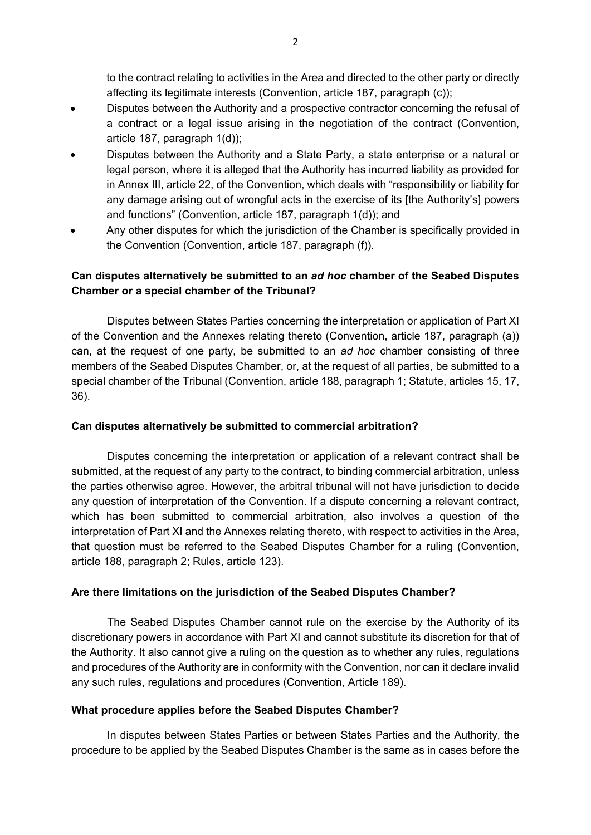to the contract relating to activities in the Area and directed to the other party or directly affecting its legitimate interests (Convention, article 187, paragraph (c));

- Disputes between the Authority and a prospective contractor concerning the refusal of a contract or a legal issue arising in the negotiation of the contract (Convention, article 187, paragraph 1(d));
- Disputes between the Authority and a State Party, a state enterprise or a natural or legal person, where it is alleged that the Authority has incurred liability as provided for in Annex III, article 22, of the Convention, which deals with "responsibility or liability for any damage arising out of wrongful acts in the exercise of its [the Authority's] powers and functions" (Convention, article 187, paragraph 1(d)); and
- Any other disputes for which the jurisdiction of the Chamber is specifically provided in the Convention (Convention, article 187, paragraph (f)).

# **Can disputes alternatively be submitted to an** *ad hoc* **chamber of the Seabed Disputes Chamber or a special chamber of the Tribunal?**

Disputes between States Parties concerning the interpretation or application of Part XI of the Convention and the Annexes relating thereto (Convention, article 187, paragraph (a)) can, at the request of one party, be submitted to an *ad hoc* chamber consisting of three members of the Seabed Disputes Chamber, or, at the request of all parties, be submitted to a special chamber of the Tribunal (Convention, article 188, paragraph 1; Statute, articles 15, 17, 36).

## **Can disputes alternatively be submitted to commercial arbitration?**

Disputes concerning the interpretation or application of a relevant contract shall be submitted, at the request of any party to the contract, to binding commercial arbitration, unless the parties otherwise agree. However, the arbitral tribunal will not have jurisdiction to decide any question of interpretation of the Convention. If a dispute concerning a relevant contract, which has been submitted to commercial arbitration, also involves a question of the interpretation of Part XI and the Annexes relating thereto, with respect to activities in the Area, that question must be referred to the Seabed Disputes Chamber for a ruling (Convention, article 188, paragraph 2; Rules, article 123).

# **Are there limitations on the jurisdiction of the Seabed Disputes Chamber?**

The Seabed Disputes Chamber cannot rule on the exercise by the Authority of its discretionary powers in accordance with Part XI and cannot substitute its discretion for that of the Authority. It also cannot give a ruling on the question as to whether any rules, regulations and procedures of the Authority are in conformity with the Convention, nor can it declare invalid any such rules, regulations and procedures (Convention, Article 189).

## **What procedure applies before the Seabed Disputes Chamber?**

In disputes between States Parties or between States Parties and the Authority, the procedure to be applied by the Seabed Disputes Chamber is the same as in cases before the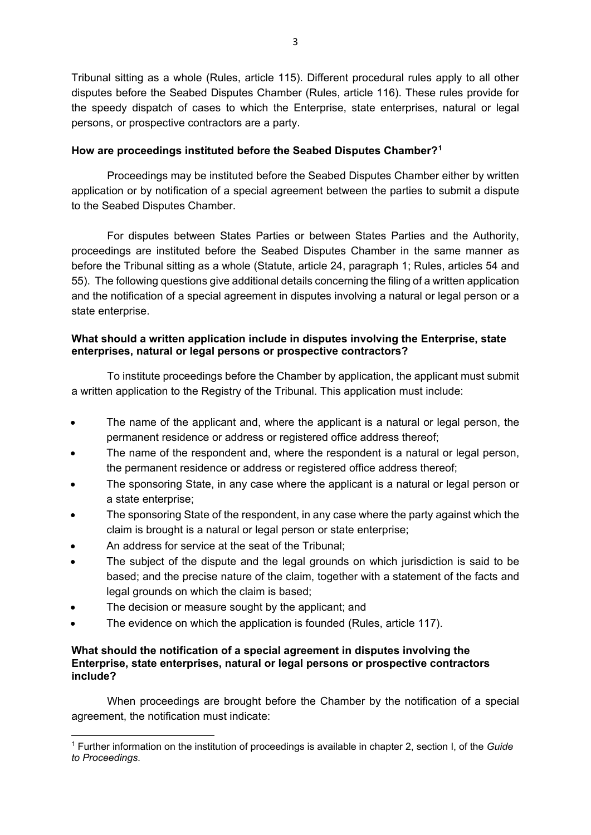Tribunal sitting as a whole (Rules, article 115). Different procedural rules apply to all other disputes before the Seabed Disputes Chamber (Rules, article 116). These rules provide for the speedy dispatch of cases to which the Enterprise, state enterprises, natural or legal persons, or prospective contractors are a party.

# **How are proceedings instituted before the Seabed Disputes Chamber?[1](#page-2-0)**

Proceedings may be instituted before the Seabed Disputes Chamber either by written application or by notification of a special agreement between the parties to submit a dispute to the Seabed Disputes Chamber.

For disputes between States Parties or between States Parties and the Authority, proceedings are instituted before the Seabed Disputes Chamber in the same manner as before the Tribunal sitting as a whole (Statute, article 24, paragraph 1; Rules, articles 54 and 55). The following questions give additional details concerning the filing of a written application and the notification of a special agreement in disputes involving a natural or legal person or a state enterprise.

# **What should a written application include in disputes involving the Enterprise, state enterprises, natural or legal persons or prospective contractors?**

To institute proceedings before the Chamber by application, the applicant must submit a written application to the Registry of the Tribunal. This application must include:

- The name of the applicant and, where the applicant is a natural or legal person, the permanent residence or address or registered office address thereof;
- The name of the respondent and, where the respondent is a natural or legal person, the permanent residence or address or registered office address thereof;
- The sponsoring State, in any case where the applicant is a natural or legal person or a state enterprise;
- The sponsoring State of the respondent, in any case where the party against which the claim is brought is a natural or legal person or state enterprise;
- An address for service at the seat of the Tribunal;
- The subject of the dispute and the legal grounds on which jurisdiction is said to be based; and the precise nature of the claim, together with a statement of the facts and legal grounds on which the claim is based;
- The decision or measure sought by the applicant; and

**.** 

The evidence on which the application is founded (Rules, article 117).

#### **What should the notification of a special agreement in disputes involving the Enterprise, state enterprises, natural or legal persons or prospective contractors include?**

When proceedings are brought before the Chamber by the notification of a special agreement, the notification must indicate:

<span id="page-2-0"></span><sup>1</sup> Further information on the institution of proceedings is available in chapter 2, section I, of the *Guide to Proceedings*.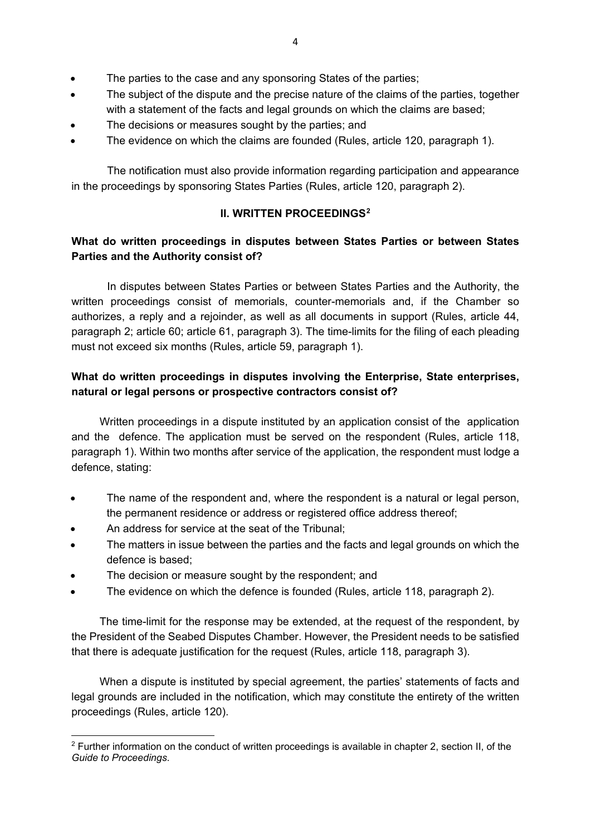- The parties to the case and any sponsoring States of the parties;
- The subject of the dispute and the precise nature of the claims of the parties, together with a statement of the facts and legal grounds on which the claims are based;
- The decisions or measures sought by the parties; and
- The evidence on which the claims are founded (Rules, article 120, paragraph 1).

The notification must also provide information regarding participation and appearance in the proceedings by sponsoring States Parties (Rules, article 120, paragraph 2).

# **II. WRITTEN PROCEEDINGS[2](#page-3-0)**

# **What do written proceedings in disputes between States Parties or between States Parties and the Authority consist of?**

In disputes between States Parties or between States Parties and the Authority, the written proceedings consist of memorials, counter-memorials and, if the Chamber so authorizes, a reply and a rejoinder, as well as all documents in support (Rules, article 44, paragraph 2; article 60; article 61, paragraph 3). The time-limits for the filing of each pleading must not exceed six months (Rules, article 59, paragraph 1).

# **What do written proceedings in disputes involving the Enterprise, State enterprises, natural or legal persons or prospective contractors consist of?**

Written proceedings in a dispute instituted by an application consist of the application and the defence. The application must be served on the respondent (Rules, article 118, paragraph 1). Within two months after service of the application, the respondent must lodge a defence, stating:

- The name of the respondent and, where the respondent is a natural or legal person, the permanent residence or address or registered office address thereof;
- An address for service at the seat of the Tribunal;
- The matters in issue between the parties and the facts and legal grounds on which the defence is based;
- The decision or measure sought by the respondent; and
- The evidence on which the defence is founded (Rules, article 118, paragraph 2).

The time-limit for the response may be extended, at the request of the respondent, by the President of the Seabed Disputes Chamber. However, the President needs to be satisfied that there is adequate justification for the request (Rules, article 118, paragraph 3).

When a dispute is instituted by special agreement, the parties' statements of facts and legal grounds are included in the notification, which may constitute the entirety of the written proceedings (Rules, article 120).

<span id="page-3-0"></span>**<sup>.</sup>** <sup>2</sup> Further information on the conduct of written proceedings is available in chapter 2, section II, of the *Guide to Proceedings*.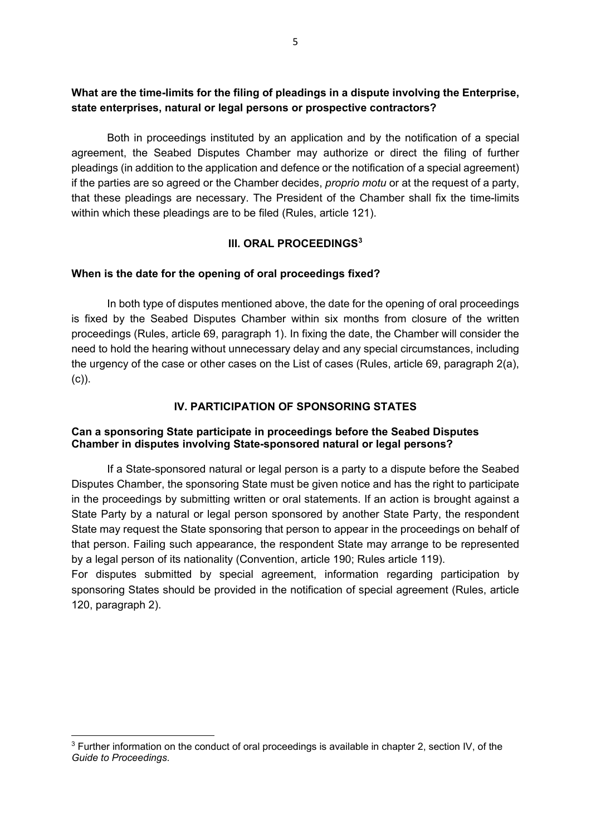# **What are the time-limits for the filing of pleadings in a dispute involving the Enterprise, state enterprises, natural or legal persons or prospective contractors?**

Both in proceedings instituted by an application and by the notification of a special agreement, the Seabed Disputes Chamber may authorize or direct the filing of further pleadings (in addition to the application and defence or the notification of a special agreement) if the parties are so agreed or the Chamber decides, *proprio motu* or at the request of a party, that these pleadings are necessary. The President of the Chamber shall fix the time-limits within which these pleadings are to be filed (Rules, article 121).

# **III. ORAL PROCEEDINGS[3](#page-4-0)**

## **When is the date for the opening of oral proceedings fixed?**

In both type of disputes mentioned above, the date for the opening of oral proceedings is fixed by the Seabed Disputes Chamber within six months from closure of the written proceedings (Rules, article 69, paragraph 1). In fixing the date, the Chamber will consider the need to hold the hearing without unnecessary delay and any special circumstances, including the urgency of the case or other cases on the List of cases (Rules, article 69, paragraph 2(a), (c)).

# **IV. PARTICIPATION OF SPONSORING STATES**

## **Can a sponsoring State participate in proceedings before the Seabed Disputes Chamber in disputes involving State-sponsored natural or legal persons?**

If a State-sponsored natural or legal person is a party to a dispute before the Seabed Disputes Chamber, the sponsoring State must be given notice and has the right to participate in the proceedings by submitting written or oral statements. If an action is brought against a State Party by a natural or legal person sponsored by another State Party, the respondent State may request the State sponsoring that person to appear in the proceedings on behalf of that person. Failing such appearance, the respondent State may arrange to be represented by a legal person of its nationality (Convention, article 190; Rules article 119).

For disputes submitted by special agreement, information regarding participation by sponsoring States should be provided in the notification of special agreement (Rules, article 120, paragraph 2).

**.** 

<span id="page-4-0"></span><sup>3</sup> Further information on the conduct of oral proceedings is available in chapter 2, section IV, of the *Guide to Proceedings*.